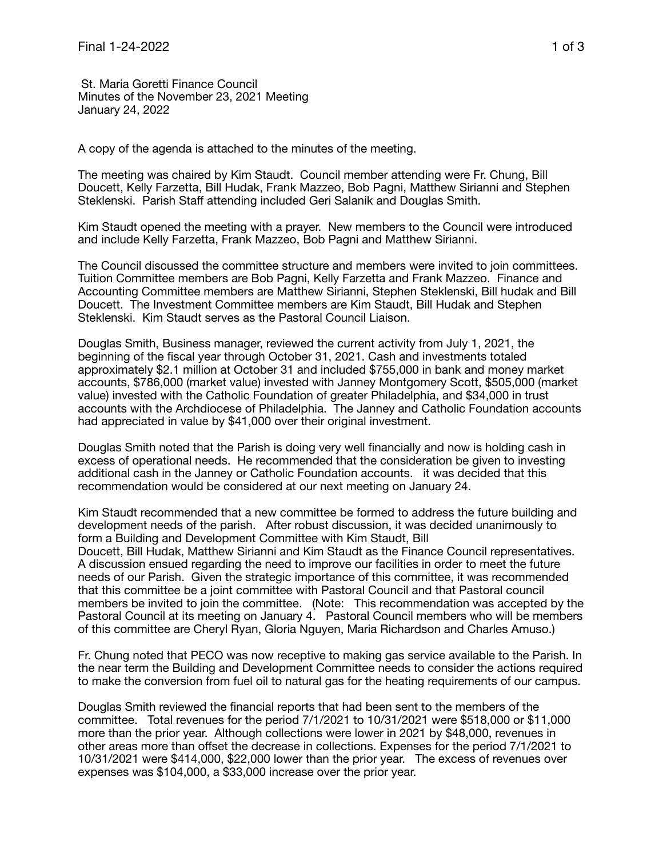St. Maria Goretti Finance Council Minutes of the November 23, 2021 Meeting January 24, 2022

A copy of the agenda is attached to the minutes of the meeting.

The meeting was chaired by Kim Staudt. Council member attending were Fr. Chung, Bill Doucett, Kelly Farzetta, Bill Hudak, Frank Mazzeo, Bob Pagni, Matthew Sirianni and Stephen Steklenski. Parish Staff attending included Geri Salanik and Douglas Smith.

Kim Staudt opened the meeting with a prayer. New members to the Council were introduced and include Kelly Farzetta, Frank Mazzeo, Bob Pagni and Matthew Sirianni.

The Council discussed the committee structure and members were invited to join committees. Tuition Committee members are Bob Pagni, Kelly Farzetta and Frank Mazzeo. Finance and Accounting Committee members are Matthew Sirianni, Stephen Steklenski, Bill hudak and Bill Doucett. The Investment Committee members are Kim Staudt, Bill Hudak and Stephen Steklenski. Kim Staudt serves as the Pastoral Council Liaison.

Douglas Smith, Business manager, reviewed the current activity from July 1, 2021, the beginning of the fiscal year through October 31, 2021. Cash and investments totaled approximately \$2.1 million at October 31 and included \$755,000 in bank and money market accounts, \$786,000 (market value) invested with Janney Montgomery Scott, \$505,000 (market value) invested with the Catholic Foundation of greater Philadelphia, and \$34,000 in trust accounts with the Archdiocese of Philadelphia. The Janney and Catholic Foundation accounts had appreciated in value by \$41,000 over their original investment.

Douglas Smith noted that the Parish is doing very well financially and now is holding cash in excess of operational needs. He recommended that the consideration be given to investing additional cash in the Janney or Catholic Foundation accounts. it was decided that this recommendation would be considered at our next meeting on January 24.

Kim Staudt recommended that a new committee be formed to address the future building and development needs of the parish. After robust discussion, it was decided unanimously to form a Building and Development Committee with Kim Staudt, Bill Doucett, Bill Hudak, Matthew Sirianni and Kim Staudt as the Finance Council representatives. A discussion ensued regarding the need to improve our facilities in order to meet the future needs of our Parish. Given the strategic importance of this committee, it was recommended that this committee be a joint committee with Pastoral Council and that Pastoral council members be invited to join the committee. (Note: This recommendation was accepted by the Pastoral Council at its meeting on January 4. Pastoral Council members who will be members of this committee are Cheryl Ryan, Gloria Nguyen, Maria Richardson and Charles Amuso.)

Fr. Chung noted that PECO was now receptive to making gas service available to the Parish. In the near term the Building and Development Committee needs to consider the actions required to make the conversion from fuel oil to natural gas for the heating requirements of our campus.

Douglas Smith reviewed the financial reports that had been sent to the members of the committee. Total revenues for the period 7/1/2021 to 10/31/2021 were \$518,000 or \$11,000 more than the prior year. Although collections were lower in 2021 by \$48,000, revenues in other areas more than offset the decrease in collections. Expenses for the period 7/1/2021 to 10/31/2021 were \$414,000, \$22,000 lower than the prior year. The excess of revenues over expenses was \$104,000, a \$33,000 increase over the prior year.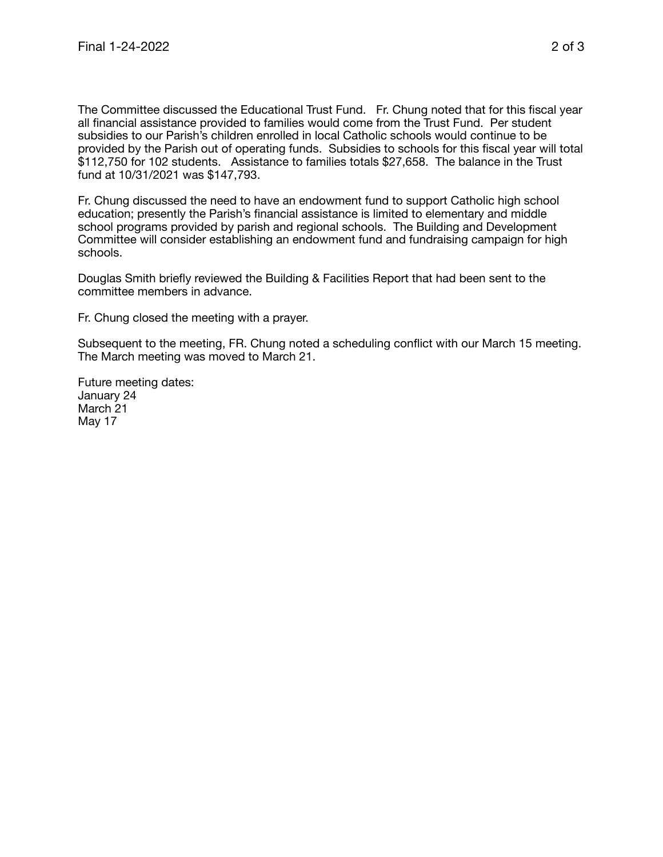The Committee discussed the Educational Trust Fund. Fr. Chung noted that for this fiscal year all financial assistance provided to families would come from the Trust Fund. Per student subsidies to our Parish's children enrolled in local Catholic schools would continue to be provided by the Parish out of operating funds. Subsidies to schools for this fiscal year will total \$112,750 for 102 students. Assistance to families totals \$27,658. The balance in the Trust fund at 10/31/2021 was \$147,793.

Fr. Chung discussed the need to have an endowment fund to support Catholic high school education; presently the Parish's financial assistance is limited to elementary and middle school programs provided by parish and regional schools. The Building and Development Committee will consider establishing an endowment fund and fundraising campaign for high schools.

Douglas Smith briefly reviewed the Building & Facilities Report that had been sent to the committee members in advance.

Fr. Chung closed the meeting with a prayer.

Subsequent to the meeting, FR. Chung noted a scheduling conflict with our March 15 meeting. The March meeting was moved to March 21.

Future meeting dates: January 24 March 21 May 17